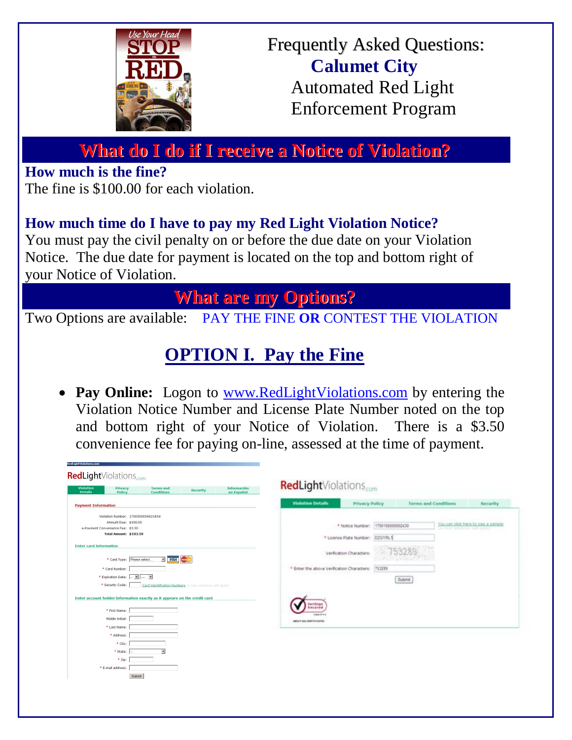

# Frequently Asked Questions:  **Calumet City** Automated Red Light Enforcement Program

# **What do I do if I receive a Notice of Violation?**

**How much is the fine?**

The fine is \$100.00 for each violation.

# **How much time do I have to pay my Red Light Violation Notice?**

You must pay the civil penalty on or before the due date on your Violation Notice. The due date for payment is located on the top and bottom right of your Notice of Violation.

# **What are my Options?**

Two Options are available: PAY THE FINE **OR** CONTEST THE VIOLATION

# **OPTION I. Pay the Fine**

• Pay Online: Logon to www.RedLightViolations.com by entering the Violation Notice Number and License Plate Number noted on the top and bottom right of your Notice of Violation. There is a \$3.50 convenience fee for paying on-line, assessed at the time of payment.

| <b>Violation</b><br><b>Información</b><br>Privacy<br><b>Terms and</b><br><b>Security</b><br>Policy<br><b>Details</b><br><b>Conditions</b><br>en Español | RedLightViolations.com                     |                             |                                   |
|---------------------------------------------------------------------------------------------------------------------------------------------------------|--------------------------------------------|-----------------------------|-----------------------------------|
| <b>Payment Information</b>                                                                                                                              | <b>Violation Details</b><br>Privacy Policy | <b>Terms and Conditions</b> | <b>Security</b>                   |
| Violation Number: 1700500059621834                                                                                                                      |                                            |                             |                                   |
| Amount Due: \$100.00                                                                                                                                    |                                            | 1700100000002430            | You can didk here to see a sample |
| e-Payment Convenience Fee: \$3.50                                                                                                                       | * Notice Number:                           |                             | 50 Fenet Warefures will colern).  |
| <b>Total Amount: \$103.50</b>                                                                                                                           | * License Plate Number:                    | DZGYRL1                     |                                   |
| <b>Enter card information</b>                                                                                                                           |                                            |                             |                                   |
|                                                                                                                                                         | Verification Characters                    |                             |                                   |
| * Card Type: Please select.<br>- VISA                                                                                                                   |                                            |                             |                                   |
| * Card Number:                                                                                                                                          | * Enter the above Verification Characters: | 753289                      |                                   |
| * Expiration Date: - -<br>$\blacktriangleright$                                                                                                         |                                            |                             |                                   |
|                                                                                                                                                         |                                            | <b>Submit</b>               |                                   |
| * Security Code:<br>Card Identification Numbers (a new windows will open)                                                                               |                                            |                             |                                   |
| Enter account holder information exactly as it appears on the credit card                                                                               |                                            |                             |                                   |
|                                                                                                                                                         | Verifician                                 |                             |                                   |
| * First Name:                                                                                                                                           | Secured                                    |                             |                                   |
| Middle Initial:                                                                                                                                         | 166111                                     |                             |                                   |
| * Last Name:                                                                                                                                            | MOSULT SELIZERTSTOCKTER                    |                             |                                   |
| * Address:                                                                                                                                              |                                            |                             |                                   |
| * City:                                                                                                                                                 |                                            |                             |                                   |
|                                                                                                                                                         |                                            |                             |                                   |
| * State:                                                                                                                                                |                                            |                             |                                   |
| * Zip:                                                                                                                                                  |                                            |                             |                                   |
| * E-mail address:                                                                                                                                       |                                            |                             |                                   |
| Submit                                                                                                                                                  |                                            |                             |                                   |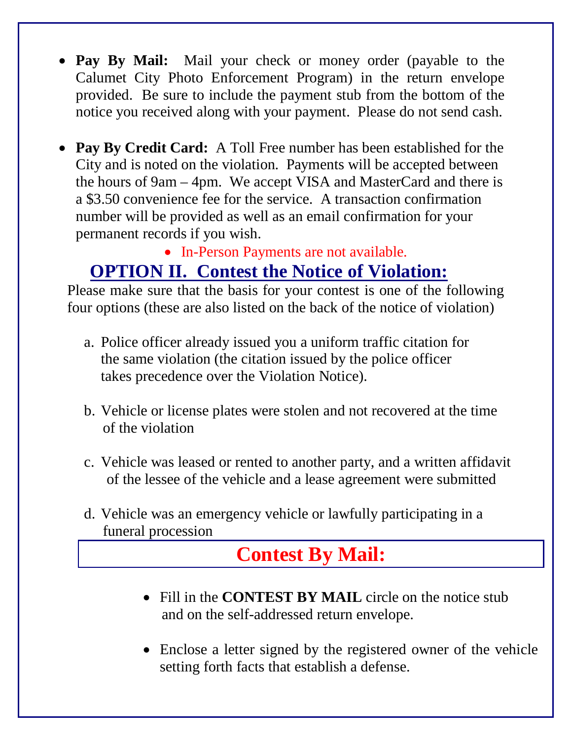- Pay By Mail: Mail your check or money order (payable to the Calumet City Photo Enforcement Program) in the return envelope provided. Be sure to include the payment stub from the bottom of the notice you received along with your payment. Please do not send cash.
- **Pay By Credit Card:** A Toll Free number has been established for the City and is noted on the violation. Payments will be accepted between the hours of 9am – 4pm. We accept VISA and MasterCard and there is a \$3.50 convenience fee for the service. A transaction confirmation number will be provided as well as an email confirmation for your permanent records if you wish.

# • In-Person Payments are not available.

# **OPTION II. Contest the Notice of Violation:**

Please make sure that the basis for your contest is one of the following four options (these are also listed on the back of the notice of violation)

- a. Police officer already issued you a uniform traffic citation for the same violation (the citation issued by the police officer takes precedence over the Violation Notice).
- b. Vehicle or license plates were stolen and not recovered at the time of the violation
- c. Vehicle was leased or rented to another party, and a written affidavit of the lessee of the vehicle and a lease agreement were submitted
- d. Vehicle was an emergency vehicle or lawfully participating in a funeral procession

# **Contest By Mail:**

- Fill in the **CONTEST BY MAIL** circle on the notice stub and on the self-addressed return envelope.
- Enclose a letter signed by the registered owner of the vehicle setting forth facts that establish a defense.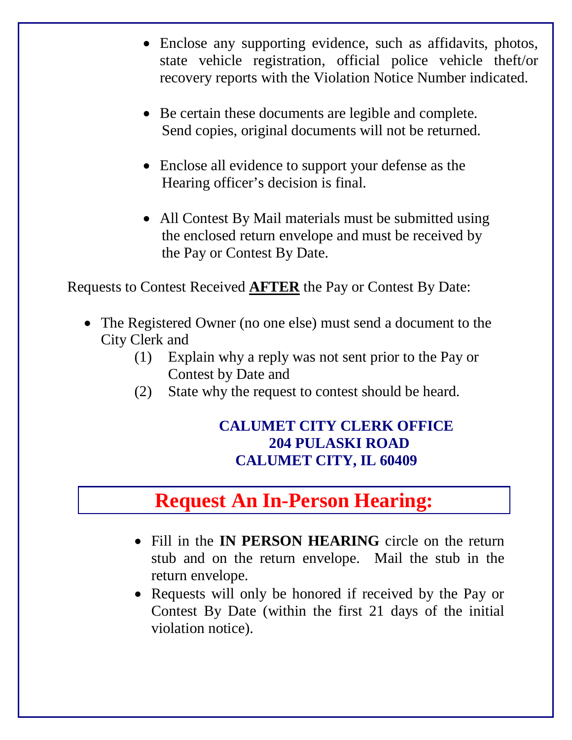- Enclose any supporting evidence, such as affidavits, photos, state vehicle registration, official police vehicle theft/or recovery reports with the Violation Notice Number indicated.
- Be certain these documents are legible and complete. Send copies, original documents will not be returned.
- Enclose all evidence to support your defense as the Hearing officer's decision is final.
- All Contest By Mail materials must be submitted using the enclosed return envelope and must be received by the Pay or Contest By Date.

Requests to Contest Received **AFTER** the Pay or Contest By Date:

- The Registered Owner (no one else) must send a document to the City Clerk and
	- (1) Explain why a reply was not sent prior to the Pay or Contest by Date and
	- (2) State why the request to contest should be heard.

## **CALUMET CITY CLERK OFFICE 204 PULASKI ROAD CALUMET CITY, IL 60409**

# **Request An In-Person Hearing:**

- Fill in the **IN PERSON HEARING** circle on the return stub and on the return envelope. Mail the stub in the return envelope.
- Requests will only be honored if received by the Pay or Contest By Date (within the first 21 days of the initial violation notice).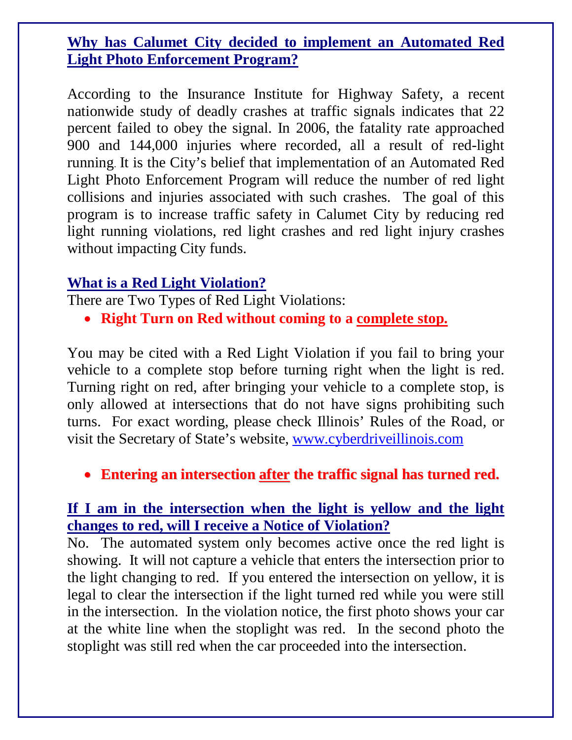### **Why has Calumet City decided to implement an Automated Red Light Photo Enforcement Program?**

According to the Insurance Institute for Highway Safety, a recent nationwide study of deadly crashes at traffic signals indicates that 22 percent failed to obey the signal. In 2006, the fatality rate approached 900 and 144,000 injuries where recorded, all a result of red-light running. It is the City's belief that implementation of an Automated Red Light Photo Enforcement Program will reduce the number of red light collisions and injuries associated with such crashes. The goal of this program is to increase traffic safety in Calumet City by reducing red light running violations, red light crashes and red light injury crashes without impacting City funds.

## **What is a Red Light Violation?**

There are Two Types of Red Light Violations:

**Right Turn on Red without coming to a complete stop.**

You may be cited with a Red Light Violation if you fail to bring your vehicle to a complete stop before turning right when the light is red. Turning right on red, after bringing your vehicle to a complete stop, is only allowed at intersections that do not have signs prohibiting such turns. For exact wording, please check Illinois' Rules of the Road, or visit the Secretary of State's website, www.cyberdriveillinois.com

**Entering an intersection after the traffic signal has turned red.**

### **If I am in the intersection when the light is yellow and the light changes to red, will I receive a Notice of Violation?**

No. The automated system only becomes active once the red light is showing. It will not capture a vehicle that enters the intersection prior to the light changing to red. If you entered the intersection on yellow, it is legal to clear the intersection if the light turned red while you were still in the intersection. In the violation notice, the first photo shows your car at the white line when the stoplight was red. In the second photo the stoplight was still red when the car proceeded into the intersection.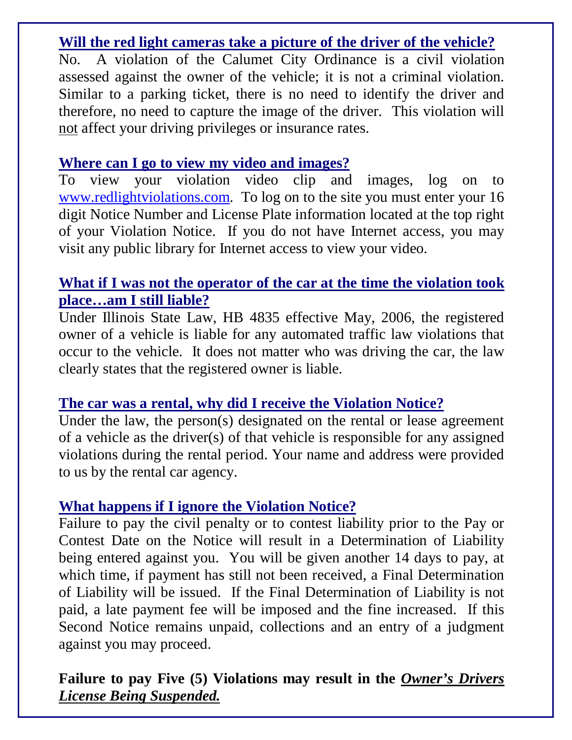## **Will the red light cameras take a picture of the driver of the vehicle?**

No. A violation of the Calumet City Ordinance is a civil violation assessed against the owner of the vehicle; it is not a criminal violation. Similar to a parking ticket, there is no need to identify the driver and therefore, no need to capture the image of the driver. This violation will not affect your driving privileges or insurance rates.

### **Where can I go to view my video and images?**

To view your violation video clip and images, log on to www.redlightviolations.com. To log on to the site you must enter your 16 digit Notice Number and License Plate information located at the top right of your Violation Notice. If you do not have Internet access, you may visit any public library for Internet access to view your video.

### **What if I was not the operator of the car at the time the violation took place…am I still liable?**

Under Illinois State Law, HB 4835 effective May, 2006, the registered owner of a vehicle is liable for any automated traffic law violations that occur to the vehicle. It does not matter who was driving the car, the law clearly states that the registered owner is liable.

### **The car was a rental, why did I receive the Violation Notice?**

Under the law, the person(s) designated on the rental or lease agreement of a vehicle as the driver(s) of that vehicle is responsible for any assigned violations during the rental period. Your name and address were provided to us by the rental car agency.

### **What happens if I ignore the Violation Notice?**

Failure to pay the civil penalty or to contest liability prior to the Pay or Contest Date on the Notice will result in a Determination of Liability being entered against you. You will be given another 14 days to pay, at which time, if payment has still not been received, a Final Determination of Liability will be issued. If the Final Determination of Liability is not paid, a late payment fee will be imposed and the fine increased. If this Second Notice remains unpaid, collections and an entry of a judgment against you may proceed.

# **Failure to pay Five (5) Violations may result in the** *Owner's Drivers License Being Suspended.*